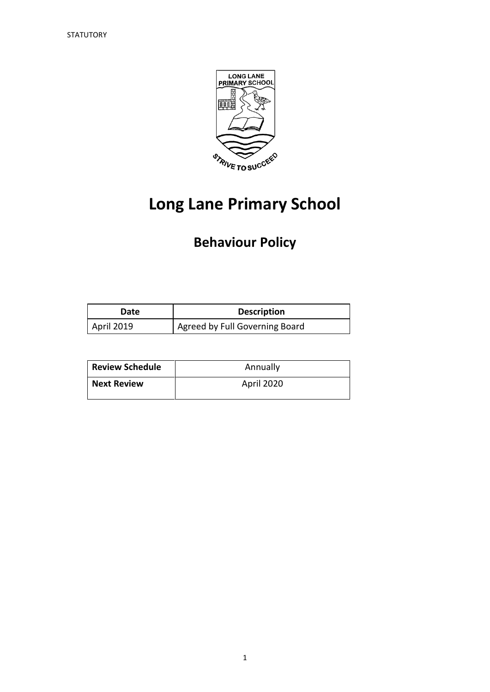

# **Long Lane Primary School**

# **Behaviour Policy**

| Date       | <b>Description</b>             |
|------------|--------------------------------|
| April 2019 | Agreed by Full Governing Board |

| <b>Review Schedule</b> | Annually   |
|------------------------|------------|
| <b>Next Review</b>     | April 2020 |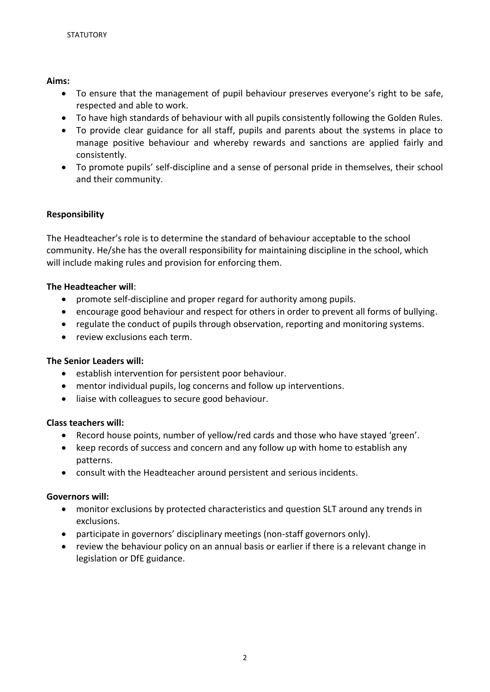# **Aims:**

- To ensure that the management of pupil behaviour preserves everyone's right to be safe, respected and able to work.
- To have high standards of behaviour with all pupils consistently following the Golden Rules.
- To provide clear guidance for all staff, pupils and parents about the systems in place to manage positive behaviour and whereby rewards and sanctions are applied fairly and consistently.
- To promote pupils' self-discipline and a sense of personal pride in themselves, their school and their community.

# **Responsibility**

The Headteacher's role is to determine the standard of behaviour acceptable to the school community. He/she has the overall responsibility for maintaining discipline in the school, which will include making rules and provision for enforcing them.

# **The Headteacher will**:

- promote self-discipline and proper regard for authority among pupils.
- encourage good behaviour and respect for others in order to prevent all forms of bullying.
- regulate the conduct of pupils through observation, reporting and monitoring systems.
- review exclusions each term.

#### **The Senior Leaders will:**

- establish intervention for persistent poor behaviour.
- mentor individual pupils, log concerns and follow up interventions.
- liaise with colleagues to secure good behaviour.

#### **Class teachers will:**

- Record house points, number of yellow/red cards and those who have stayed 'green'.
- keep records of success and concern and any follow up with home to establish any patterns.
- consult with the Headteacher around persistent and serious incidents.

#### **Governors will:**

- monitor exclusions by protected characteristics and question SLT around any trends in exclusions.
- participate in governors' disciplinary meetings (non-staff governors only).
- review the behaviour policy on an annual basis or earlier if there is a relevant change in legislation or DfE guidance.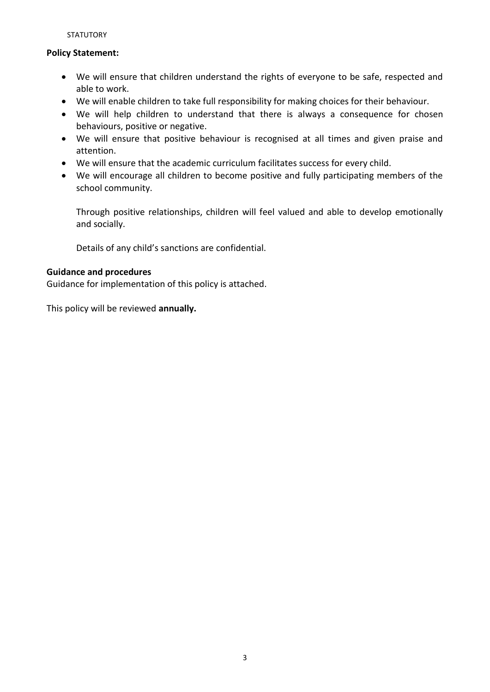**STATUTORY** 

# **Policy Statement:**

- We will ensure that children understand the rights of everyone to be safe, respected and able to work.
- We will enable children to take full responsibility for making choices for their behaviour.
- We will help children to understand that there is always a consequence for chosen behaviours, positive or negative.
- We will ensure that positive behaviour is recognised at all times and given praise and attention.
- We will ensure that the academic curriculum facilitates success for every child.
- We will encourage all children to become positive and fully participating members of the school community.

Through positive relationships, children will feel valued and able to develop emotionally and socially.

Details of any child's sanctions are confidential.

# **Guidance and procedures**

Guidance for implementation of this policy is attached.

This policy will be reviewed **annually.**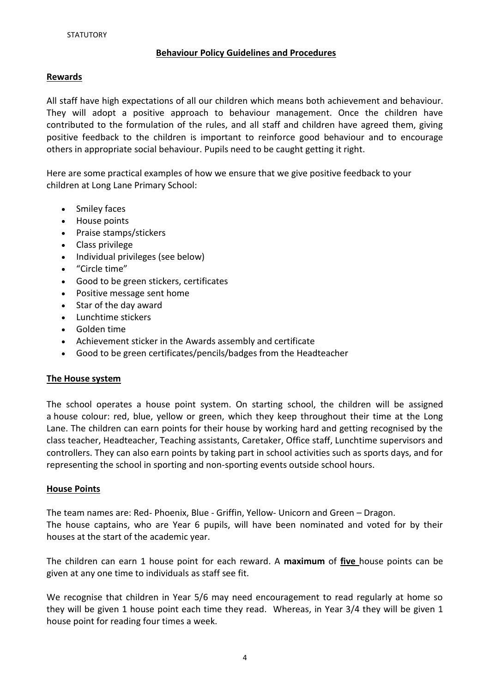# **Behaviour Policy Guidelines and Procedures**

#### **Rewards**

All staff have high expectations of all our children which means both achievement and behaviour. They will adopt a positive approach to behaviour management. Once the children have contributed to the formulation of the rules, and all staff and children have agreed them, giving positive feedback to the children is important to reinforce good behaviour and to encourage others in appropriate social behaviour. Pupils need to be caught getting it right.

Here are some practical examples of how we ensure that we give positive feedback to your children at Long Lane Primary School:

- Smiley faces
- House points
- Praise stamps/stickers
- Class privilege
- Individual privileges (see below)
- "Circle time"
- Good to be green stickers, certificates
- Positive message sent home
- Star of the day award
- Lunchtime stickers
- Golden time
- Achievement sticker in the Awards assembly and certificate
- Good to be green certificates/pencils/badges from the Headteacher

#### **The House system**

The school operates a house point system. On starting school, the children will be assigned a house colour: red, blue, yellow or green, which they keep throughout their time at the Long Lane. The children can earn points for their house by working hard and getting recognised by the class teacher, Headteacher, Teaching assistants, Caretaker, Office staff, Lunchtime supervisors and controllers. They can also earn points by taking part in school activities such as sports days, and for representing the school in sporting and non-sporting events outside school hours.

#### **House Points**

The team names are: Red- [Phoenix,](http://www.mythcreatures.co.uk/beasts/phoenix.asp) Blue - Griffin, Yellow- Unicorn and Green – Dragon. The house captains, who are Year 6 pupils, will have been nominated and voted for by their houses at the start of the academic year.

The children can earn 1 house point for each reward. A **maximum** of **five** house points can be given at any one time to individuals as staff see fit.

We recognise that children in Year 5/6 may need encouragement to read regularly at home so they will be given 1 house point each time they read. Whereas, in Year 3/4 they will be given 1 house point for reading four times a week.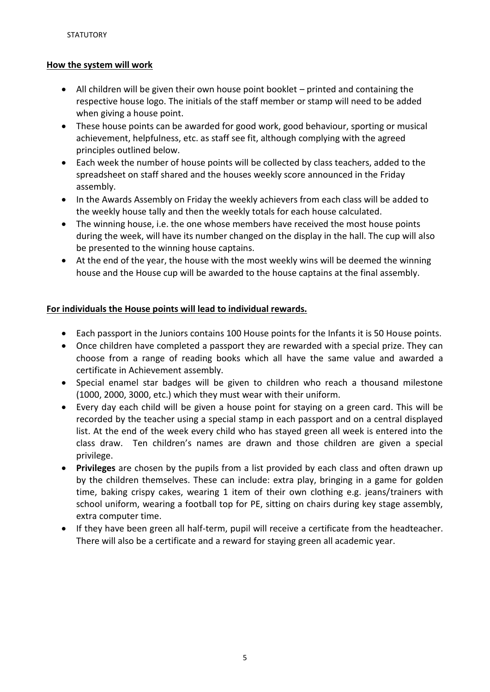# **How the system will work**

- All children will be given their own house point booklet printed and containing the respective house logo. The initials of the staff member or stamp will need to be added when giving a house point.
- These house points can be awarded for good work, good behaviour, sporting or musical achievement, helpfulness, etc. as staff see fit, although complying with the agreed principles outlined below.
- Each week the number of house points will be collected by class teachers, added to the spreadsheet on staff shared and the houses weekly score announced in the Friday assembly.
- In the Awards Assembly on Friday the weekly achievers from each class will be added to the weekly house tally and then the weekly totals for each house calculated.
- The winning house, i.e. the one whose members have received the most house points during the week, will have its number changed on the display in the hall. The cup will also be presented to the winning house captains.
- At the end of the year, the house with the most weekly wins will be deemed the winning house and the House cup will be awarded to the house captains at the final assembly.

# **For individuals the House points will lead to individual rewards.**

- Each passport in the Juniors contains 100 House points for the Infants it is 50 House points.
- Once children have completed a passport they are rewarded with a special prize. They can choose from a range of reading books which all have the same value and awarded a certificate in Achievement assembly.
- Special enamel star badges will be given to children who reach a thousand milestone (1000, 2000, 3000, etc.) which they must wear with their uniform.
- Every day each child will be given a house point for staying on a green card. This will be recorded by the teacher using a special stamp in each passport and on a central displayed list. At the end of the week every child who has stayed green all week is entered into the class draw. Ten children's names are drawn and those children are given a special privilege.
- **Privileges** are chosen by the pupils from a list provided by each class and often drawn up by the children themselves. These can include: extra play, bringing in a game for golden time, baking crispy cakes, wearing 1 item of their own clothing e.g. jeans/trainers with school uniform, wearing a football top for PE, sitting on chairs during key stage assembly, extra computer time.
- If they have been green all half-term, pupil will receive a certificate from the headteacher. There will also be a certificate and a reward for staying green all academic year.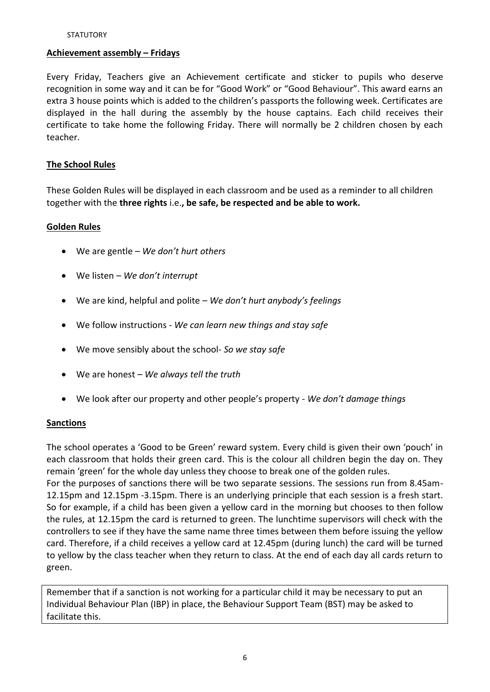#### **Achievement assembly – Fridays**

Every Friday, Teachers give an Achievement certificate and sticker to pupils who deserve recognition in some way and it can be for "Good Work" or "Good Behaviour". This award earns an extra 3 house points which is added to the children's passports the following week. Certificates are displayed in the hall during the assembly by the house captains. Each child receives their certificate to take home the following Friday. There will normally be 2 children chosen by each teacher.

#### **The School Rules**

These Golden Rules will be displayed in each classroom and be used as a reminder to all children together with the **three rights** i.e.**, be safe, be respected and be able to work.**

#### **Golden Rules**

- We are gentle *We don't hurt others*
- We listen *We don't interrupt*
- We are kind, helpful and polite *We don't hurt anybody's feelings*
- We follow instructions *We can learn new things and stay safe*
- We move sensibly about the school- *So we stay safe*
- We are honest *We always tell the truth*
- We look after our property and other people's property *We don't damage things*

#### **Sanctions**

The school operates a 'Good to be Green' reward system. Every child is given their own 'pouch' in each classroom that holds their green card. This is the colour all children begin the day on. They remain 'green' for the whole day unless they choose to break one of the golden rules.

For the purposes of sanctions there will be two separate sessions. The sessions run from 8.45am-12.15pm and 12.15pm -3.15pm. There is an underlying principle that each session is a fresh start. So for example, if a child has been given a yellow card in the morning but chooses to then follow the rules, at 12.15pm the card is returned to green. The lunchtime supervisors will check with the controllers to see if they have the same name three times between them before issuing the yellow card. Therefore, if a child receives a yellow card at 12.45pm (during lunch) the card will be turned to yellow by the class teacher when they return to class. At the end of each day all cards return to green.

Remember that if a sanction is not working for a particular child it may be necessary to put an Individual Behaviour Plan (IBP) in place, the Behaviour Support Team (BST) may be asked to facilitate this.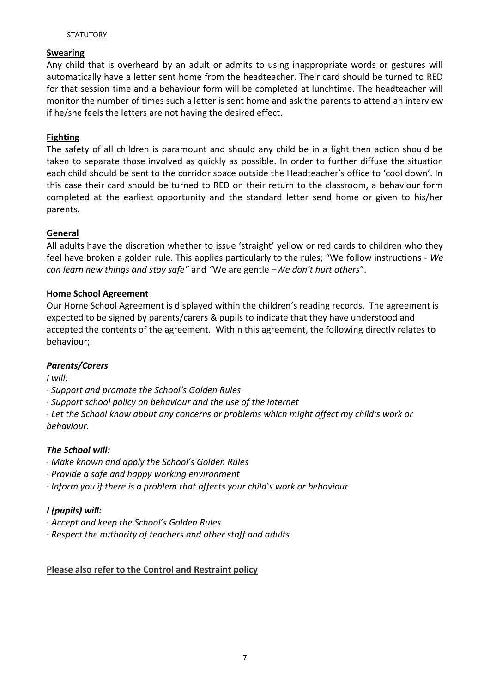#### **STATUTORY**

# **Swearing**

Any child that is overheard by an adult or admits to using inappropriate words or gestures will automatically have a letter sent home from the headteacher. Their card should be turned to RED for that session time and a behaviour form will be completed at lunchtime. The headteacher will monitor the number of times such a letter is sent home and ask the parents to attend an interview if he/she feels the letters are not having the desired effect.

# **Fighting**

The safety of all children is paramount and should any child be in a fight then action should be taken to separate those involved as quickly as possible. In order to further diffuse the situation each child should be sent to the corridor space outside the Headteacher's office to 'cool down'. In this case their card should be turned to RED on their return to the classroom, a behaviour form completed at the earliest opportunity and the standard letter send home or given to his/her parents.

# **General**

All adults have the discretion whether to issue 'straight' yellow or red cards to children who they feel have broken a golden rule. This applies particularly to the rules; "We follow instructions - *We can learn new things and stay safe"* and *"*We are gentle –*We don't hurt others*".

# **Home School Agreement**

Our Home School Agreement is displayed within the children's reading records. The agreement is expected to be signed by parents/carers & pupils to indicate that they have understood and accepted the contents of the agreement. Within this agreement, the following directly relates to behaviour;

# *Parents/Carers*

*I will:*

*· Support and promote the School's Golden Rules*

*· Support school policy on behaviour and the use of the internet*

*· Let the School know about any concerns or problems which might affect my child's work or behaviour.*

#### *The School will:*

- *· Make known and apply the School's Golden Rules*
- *· Provide a safe and happy working environment*
- *· Inform you if there is a problem that affects your child's work or behaviour*

# *I (pupils) will:*

- *· Accept and keep the School's Golden Rules*
- *· Respect the authority of teachers and other staff and adults*

#### **Please also refer to the Control and Restraint policy**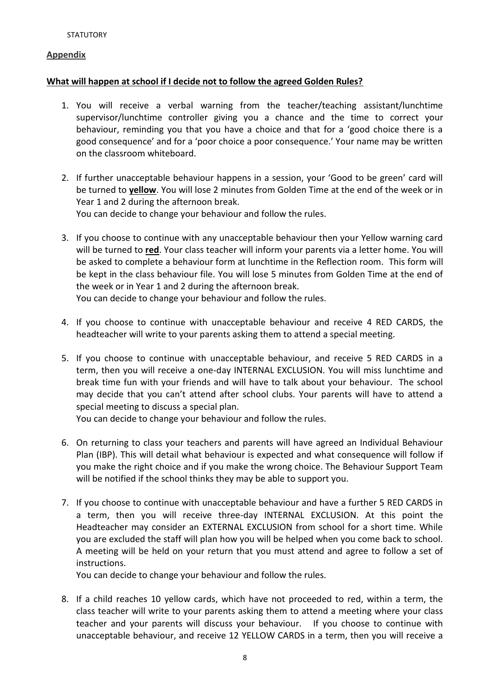#### **Appendix**

# **What will happen at school if I decide not to follow the agreed Golden Rules?**

- 1. You will receive a verbal warning from the teacher/teaching assistant/lunchtime supervisor/lunchtime controller giving you a chance and the time to correct your behaviour, reminding you that you have a choice and that for a 'good choice there is a good consequence' and for a 'poor choice a poor consequence.' Your name may be written on the classroom whiteboard.
- 2. If further unacceptable behaviour happens in a session, your 'Good to be green' card will be turned to **yellow**. You will lose 2 minutes from Golden Time at the end of the week or in Year 1 and 2 during the afternoon break. You can decide to change your behaviour and follow the rules.

3. If you choose to continue with any unacceptable behaviour then your Yellow warning card will be turned to **red**. Your class teacher will inform your parents via a letter home. You will be asked to complete a behaviour form at lunchtime in the Reflection room. This form will be kept in the class behaviour file. You will lose 5 minutes from Golden Time at the end of the week or in Year 1 and 2 during the afternoon break.

You can decide to change your behaviour and follow the rules.

- 4. If you choose to continue with unacceptable behaviour and receive 4 RED CARDS, the headteacher will write to your parents asking them to attend a special meeting.
- 5. If you choose to continue with unacceptable behaviour, and receive 5 RED CARDS in a term, then you will receive a one-day INTERNAL EXCLUSION. You will miss lunchtime and break time fun with your friends and will have to talk about your behaviour. The school may decide that you can't attend after school clubs. Your parents will have to attend a special meeting to discuss a special plan.

You can decide to change your behaviour and follow the rules.

- 6. On returning to class your teachers and parents will have agreed an Individual Behaviour Plan (IBP). This will detail what behaviour is expected and what consequence will follow if you make the right choice and if you make the wrong choice. The Behaviour Support Team will be notified if the school thinks they may be able to support you.
- 7. If you choose to continue with unacceptable behaviour and have a further 5 RED CARDS in a term, then you will receive three-day INTERNAL EXCLUSION. At this point the Headteacher may consider an EXTERNAL EXCLUSION from school for a short time. While you are excluded the staff will plan how you will be helped when you come back to school. A meeting will be held on your return that you must attend and agree to follow a set of instructions.

You can decide to change your behaviour and follow the rules.

8. If a child reaches 10 yellow cards, which have not proceeded to red, within a term, the class teacher will write to your parents asking them to attend a meeting where your class teacher and your parents will discuss your behaviour. If you choose to continue with unacceptable behaviour, and receive 12 YELLOW CARDS in a term, then you will receive a